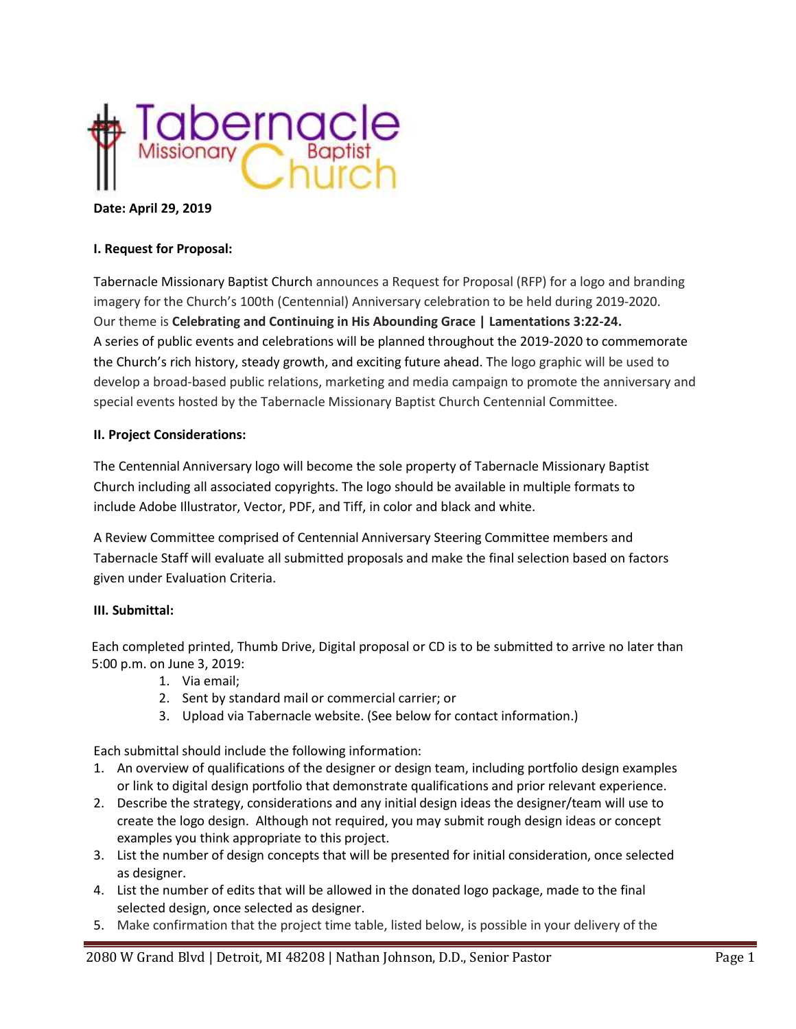

### **Date: April 29, 2019**

### **I. Request for Proposal:**

Tabernacle Missionary Baptist Church announces a Request for Proposal (RFP) for a logo and branding imagery for the Church's 100th (Centennial) Anniversary celebration to be held during 2019-2020. Our theme is **Celebrating and Continuing in His Abounding Grace | Lamentations 3:22-24.** A series of public events and celebrations will be planned throughout the 2019-2020 to commemorate the Church's rich history, steady growth, and exciting future ahead. The logo graphic will be used to develop a broad-based public relations, marketing and media campaign to promote the anniversary and special events hosted by the Tabernacle Missionary Baptist Church Centennial Committee.

#### **II. Project Considerations:**

The Centennial Anniversary logo will become the sole property of Tabernacle Missionary Baptist Church including all associated copyrights. The logo should be available in multiple formats to include Adobe Illustrator, Vector, PDF, and Tiff, in color and black and white.

A Review Committee comprised of Centennial Anniversary Steering Committee members and Tabernacle Staff will evaluate all submitted proposals and make the final selection based on factors given under Evaluation Criteria.

### **III. Submittal:**

Each completed printed, Thumb Drive, Digital proposal or CD is to be submitted to arrive no later than 5:00 p.m. on June 3, 2019:

- 1. Via email;
- 2. Sent by standard mail or commercial carrier; or
- 3. Upload via Tabernacle website. (See below for contact information.)

Each submittal should include the following information:

- 1. An overview of qualifications of the designer or design team, including portfolio design examples or link to digital design portfolio that demonstrate qualifications and prior relevant experience.
- 2. Describe the strategy, considerations and any initial design ideas the designer/team will use to create the logo design. Although not required, you may submit rough design ideas or concept examples you think appropriate to this project.
- 3. List the number of design concepts that will be presented for initial consideration, once selected as designer.
- 4. List the number of edits that will be allowed in the donated logo package, made to the final selected design, once selected as designer.
- 5. Make confirmation that the project time table, listed below, is possible in your delivery of the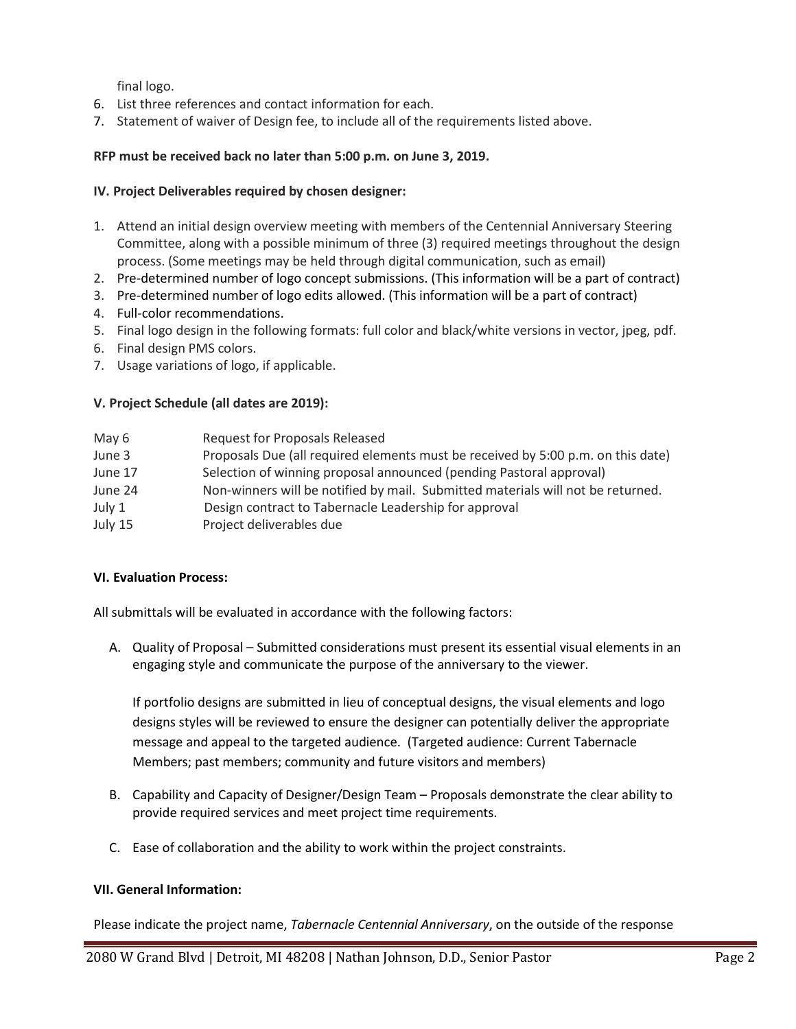final logo.

- 6. List three references and contact information for each.
- 7. Statement of waiver of Design fee, to include all of the requirements listed above.

# **RFP must be received back no later than 5:00 p.m. on June 3, 2019.**

### **IV. Project Deliverables required by chosen designer:**

- 1. Attend an initial design overview meeting with members of the Centennial Anniversary Steering Committee, along with a possible minimum of three (3) required meetings throughout the design process. (Some meetings may be held through digital communication, such as email)
- 2. Pre-determined number of logo concept submissions. (This information will be a part of contract)
- 3. Pre-determined number of logo edits allowed. (This information will be a part of contract)
- 4. Full-color recommendations.
- 5. Final logo design in the following formats: full color and black/white versions in vector, jpeg, pdf.
- 6. Final design PMS colors.
- 7. Usage variations of logo, if applicable.

# **V. Project Schedule (all dates are 2019):**

| May 6   | <b>Request for Proposals Released</b>                                            |
|---------|----------------------------------------------------------------------------------|
| June 3  | Proposals Due (all required elements must be received by 5:00 p.m. on this date) |
| June 17 | Selection of winning proposal announced (pending Pastoral approval)              |
| June 24 | Non-winners will be notified by mail. Submitted materials will not be returned.  |
| July 1  | Design contract to Tabernacle Leadership for approval                            |
| July 15 | Project deliverables due                                                         |

### **VI. Evaluation Process:**

All submittals will be evaluated in accordance with the following factors:

A. Quality of Proposal – Submitted considerations must present its essential visual elements in an engaging style and communicate the purpose of the anniversary to the viewer.

If portfolio designs are submitted in lieu of conceptual designs, the visual elements and logo designs styles will be reviewed to ensure the designer can potentially deliver the appropriate message and appeal to the targeted audience. (Targeted audience: Current Tabernacle Members; past members; community and future visitors and members)

- B. Capability and Capacity of Designer/Design Team Proposals demonstrate the clear ability to provide required services and meet project time requirements.
- C. Ease of collaboration and the ability to work within the project constraints.

### **VII. General Information:**

Please indicate the project name, *Tabernacle Centennial Anniversary*, on the outside of the response